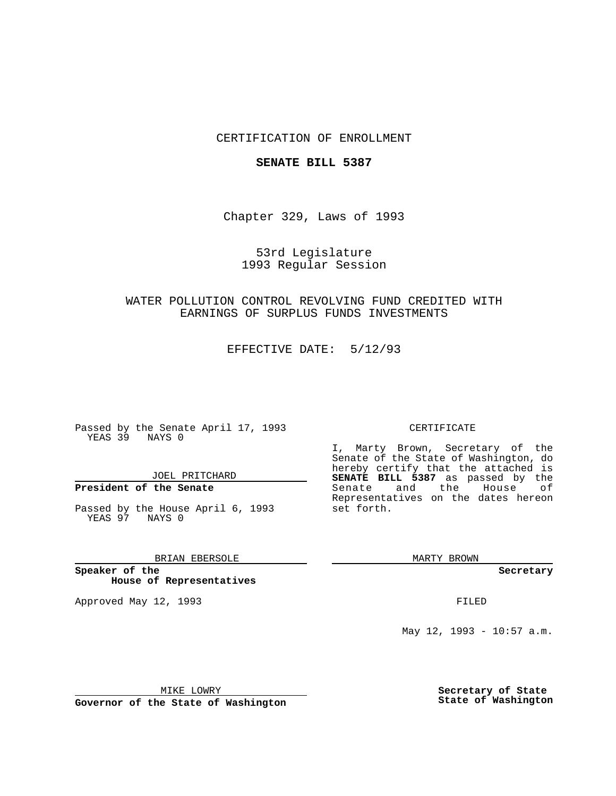## CERTIFICATION OF ENROLLMENT

#### **SENATE BILL 5387**

Chapter 329, Laws of 1993

53rd Legislature 1993 Regular Session

# WATER POLLUTION CONTROL REVOLVING FUND CREDITED WITH EARNINGS OF SURPLUS FUNDS INVESTMENTS

EFFECTIVE DATE: 5/12/93

Passed by the Senate April 17, 1993 YEAS 39 NAYS 0

JOEL PRITCHARD

# **President of the Senate**

Passed by the House April 6, 1993 YEAS 97 NAYS 0

### BRIAN EBERSOLE

**Speaker of the House of Representatives**

Approved May 12, 1993 **FILED** 

#### CERTIFICATE

I, Marty Brown, Secretary of the Senate of the State of Washington, do hereby certify that the attached is **SENATE BILL 5387** as passed by the Senate and the House of Representatives on the dates hereon set forth.

MARTY BROWN

**Secretary**

May 12, 1993 - 10:57 a.m.

MIKE LOWRY

**Governor of the State of Washington**

**Secretary of State State of Washington**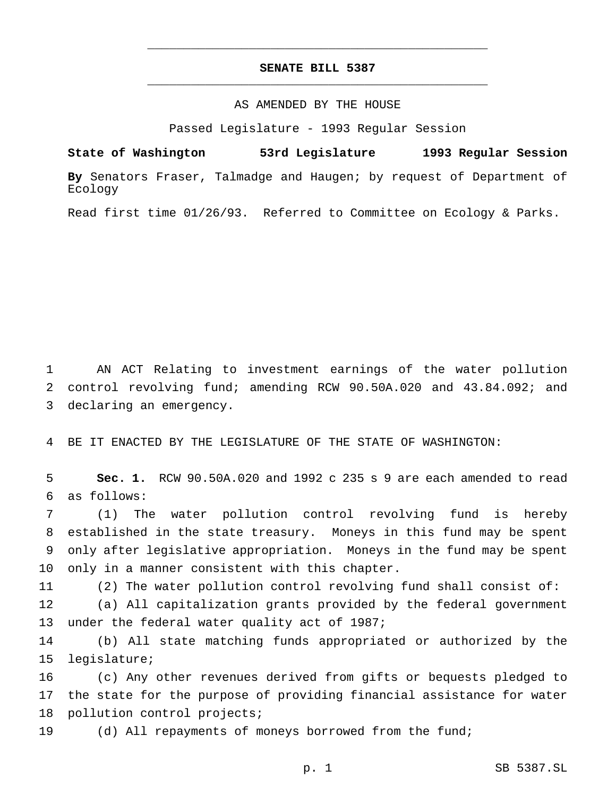# **SENATE BILL 5387** \_\_\_\_\_\_\_\_\_\_\_\_\_\_\_\_\_\_\_\_\_\_\_\_\_\_\_\_\_\_\_\_\_\_\_\_\_\_\_\_\_\_\_\_\_\_\_

\_\_\_\_\_\_\_\_\_\_\_\_\_\_\_\_\_\_\_\_\_\_\_\_\_\_\_\_\_\_\_\_\_\_\_\_\_\_\_\_\_\_\_\_\_\_\_

#### AS AMENDED BY THE HOUSE

Passed Legislature - 1993 Regular Session

**State of Washington 53rd Legislature 1993 Regular Session**

**By** Senators Fraser, Talmadge and Haugen; by request of Department of Ecology

Read first time 01/26/93. Referred to Committee on Ecology & Parks.

1 AN ACT Relating to investment earnings of the water pollution 2 control revolving fund; amending RCW 90.50A.020 and 43.84.092; and 3 declaring an emergency.

4 BE IT ENACTED BY THE LEGISLATURE OF THE STATE OF WASHINGTON:

5 **Sec. 1.** RCW 90.50A.020 and 1992 c 235 s 9 are each amended to read 6 as follows:

 (1) The water pollution control revolving fund is hereby established in the state treasury. Moneys in this fund may be spent only after legislative appropriation. Moneys in the fund may be spent only in a manner consistent with this chapter.

11 (2) The water pollution control revolving fund shall consist of:

12 (a) All capitalization grants provided by the federal government 13 under the federal water quality act of 1987;

14 (b) All state matching funds appropriated or authorized by the 15 legislature;

16 (c) Any other revenues derived from gifts or bequests pledged to 17 the state for the purpose of providing financial assistance for water 18 pollution control projects;

19 (d) All repayments of moneys borrowed from the fund;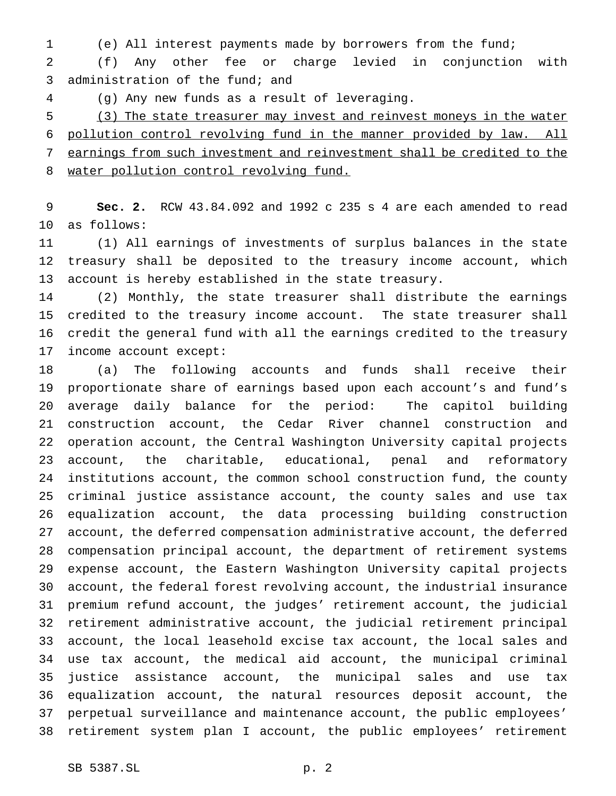(e) All interest payments made by borrowers from the fund;

 (f) Any other fee or charge levied in conjunction with administration of the fund; and

(g) Any new funds as a result of leveraging.

 (3) The state treasurer may invest and reinvest moneys in the water pollution control revolving fund in the manner provided by law. All earnings from such investment and reinvestment shall be credited to the 8 water pollution control revolving fund.

 **Sec. 2.** RCW 43.84.092 and 1992 c 235 s 4 are each amended to read as follows:

 (1) All earnings of investments of surplus balances in the state treasury shall be deposited to the treasury income account, which account is hereby established in the state treasury.

 (2) Monthly, the state treasurer shall distribute the earnings credited to the treasury income account. The state treasurer shall credit the general fund with all the earnings credited to the treasury income account except:

 (a) The following accounts and funds shall receive their proportionate share of earnings based upon each account's and fund's average daily balance for the period: The capitol building construction account, the Cedar River channel construction and operation account, the Central Washington University capital projects account, the charitable, educational, penal and reformatory institutions account, the common school construction fund, the county criminal justice assistance account, the county sales and use tax equalization account, the data processing building construction account, the deferred compensation administrative account, the deferred compensation principal account, the department of retirement systems expense account, the Eastern Washington University capital projects account, the federal forest revolving account, the industrial insurance premium refund account, the judges' retirement account, the judicial retirement administrative account, the judicial retirement principal account, the local leasehold excise tax account, the local sales and use tax account, the medical aid account, the municipal criminal justice assistance account, the municipal sales and use tax equalization account, the natural resources deposit account, the perpetual surveillance and maintenance account, the public employees' retirement system plan I account, the public employees' retirement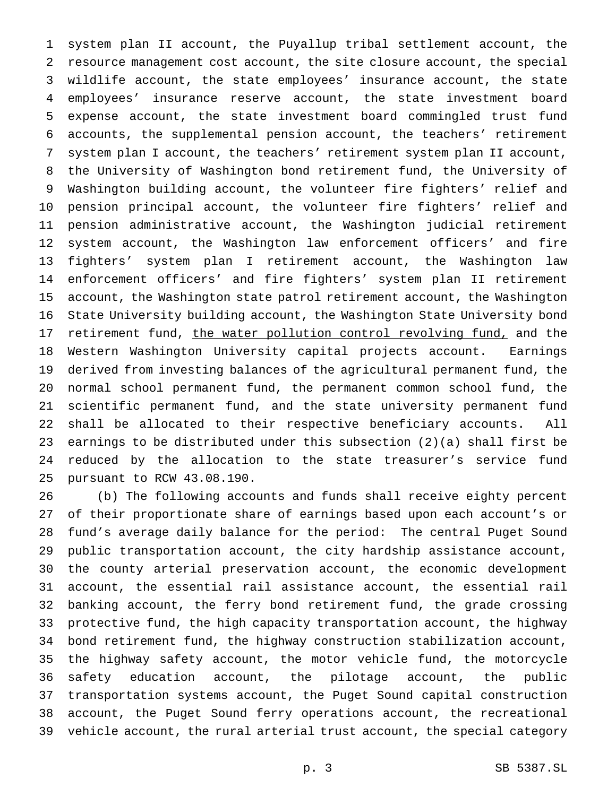system plan II account, the Puyallup tribal settlement account, the resource management cost account, the site closure account, the special wildlife account, the state employees' insurance account, the state employees' insurance reserve account, the state investment board expense account, the state investment board commingled trust fund accounts, the supplemental pension account, the teachers' retirement system plan I account, the teachers' retirement system plan II account, the University of Washington bond retirement fund, the University of Washington building account, the volunteer fire fighters' relief and pension principal account, the volunteer fire fighters' relief and pension administrative account, the Washington judicial retirement system account, the Washington law enforcement officers' and fire fighters' system plan I retirement account, the Washington law enforcement officers' and fire fighters' system plan II retirement account, the Washington state patrol retirement account, the Washington State University building account, the Washington State University bond 17 retirement fund, the water pollution control revolving fund, and the Western Washington University capital projects account. Earnings derived from investing balances of the agricultural permanent fund, the normal school permanent fund, the permanent common school fund, the scientific permanent fund, and the state university permanent fund shall be allocated to their respective beneficiary accounts. All earnings to be distributed under this subsection (2)(a) shall first be reduced by the allocation to the state treasurer's service fund pursuant to RCW 43.08.190.

 (b) The following accounts and funds shall receive eighty percent of their proportionate share of earnings based upon each account's or fund's average daily balance for the period: The central Puget Sound public transportation account, the city hardship assistance account, the county arterial preservation account, the economic development account, the essential rail assistance account, the essential rail banking account, the ferry bond retirement fund, the grade crossing protective fund, the high capacity transportation account, the highway bond retirement fund, the highway construction stabilization account, the highway safety account, the motor vehicle fund, the motorcycle safety education account, the pilotage account, the public transportation systems account, the Puget Sound capital construction account, the Puget Sound ferry operations account, the recreational vehicle account, the rural arterial trust account, the special category